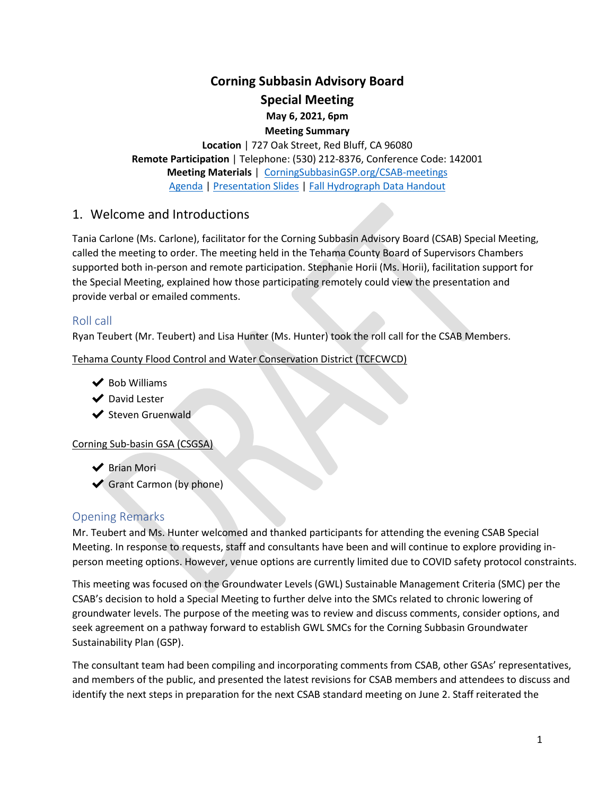# **Corning Subbasin Advisory Board**

**Special Meeting**

**May 6, 2021, 6pm Meeting Summary**

**Location** | 727 Oak Street, Red Bluff, CA 96080 **Remote Participation** | Telephone: (530) 212-8376, Conference Code: 142001 **Meeting Materials** | [CorningSubbasinGSP.org/CSAB-meetings](https://www.corningsubbasingsp.org/csab-meetings) [Agenda](https://a8b4cae8-bac7-40f8-8c05-cf1a163cd3ad.filesusr.com/ugd/c88b6b_54a5ecf2c5b94c6e9514d8799de36799.pdf) | [Presentation Slides](https://a8b4cae8-bac7-40f8-8c05-cf1a163cd3ad.filesusr.com/ugd/c88b6b_a0f4e3d161604f3e93aca42962e668a5.pdf) | [Fall Hydrograph Data Handout](https://a8b4cae8-bac7-40f8-8c05-cf1a163cd3ad.filesusr.com/ugd/c88b6b_845b3602759448bd91e12c1c0f23e551.pdf)

# 1. Welcome and Introductions

Tania Carlone (Ms. Carlone), facilitator for the Corning Subbasin Advisory Board (CSAB) Special Meeting, called the meeting to order. The meeting held in the Tehama County Board of Supervisors Chambers supported both in-person and remote participation. Stephanie Horii (Ms. Horii), facilitation support for the Special Meeting, explained how those participating remotely could view the presentation and provide verbal or emailed comments.

## Roll call

Ryan Teubert (Mr. Teubert) and Lisa Hunter (Ms. Hunter) took the roll call for the CSAB Members.

Tehama County Flood Control and Water Conservation District (TCFCWCD)

- $\blacktriangleright$  Bob Williams
- ◆ David Lester
- **◆ Steven Gruenwald**

Corning Sub-basin GSA (CSGSA)

- ◆ Brian Mori
- $\blacktriangleright$  Grant Carmon (by phone)

# Opening Remarks

Mr. Teubert and Ms. Hunter welcomed and thanked participants for attending the evening CSAB Special Meeting. In response to requests, staff and consultants have been and will continue to explore providing inperson meeting options. However, venue options are currently limited due to COVID safety protocol constraints.

This meeting was focused on the Groundwater Levels (GWL) Sustainable Management Criteria (SMC) per the CSAB's decision to hold a Special Meeting to further delve into the SMCs related to chronic lowering of groundwater levels. The purpose of the meeting was to review and discuss comments, consider options, and seek agreement on a pathway forward to establish GWL SMCs for the Corning Subbasin Groundwater Sustainability Plan (GSP).

The consultant team had been compiling and incorporating comments from CSAB, other GSAs' representatives, and members of the public, and presented the latest revisions for CSAB members and attendees to discuss and identify the next steps in preparation for the next CSAB standard meeting on June 2. Staff reiterated the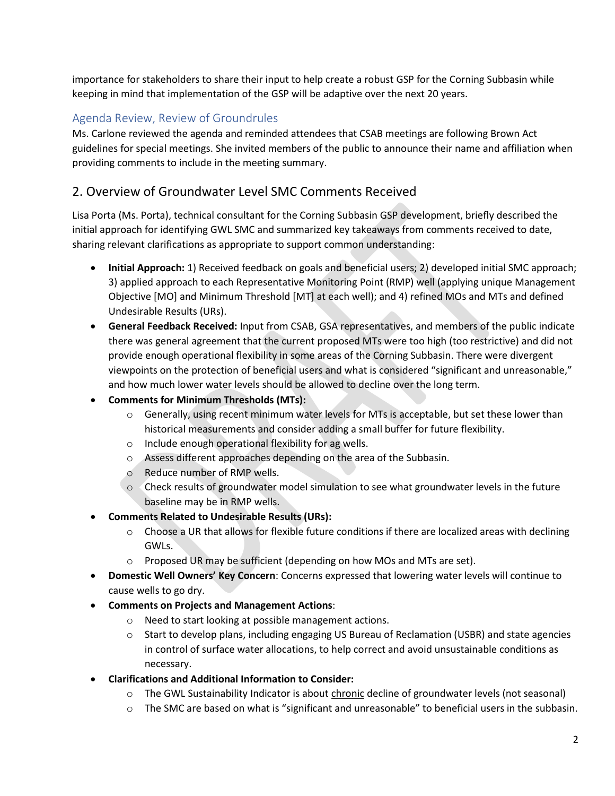importance for stakeholders to share their input to help create a robust GSP for the Corning Subbasin while keeping in mind that implementation of the GSP will be adaptive over the next 20 years.

# Agenda Review, Review of Groundrules

Ms. Carlone reviewed the agenda and reminded attendees that CSAB meetings are following Brown Act guidelines for special meetings. She invited members of the public to announce their name and affiliation when providing comments to include in the meeting summary.

# 2. Overview of Groundwater Level SMC Comments Received

Lisa Porta (Ms. Porta), technical consultant for the Corning Subbasin GSP development, briefly described the initial approach for identifying GWL SMC and summarized key takeaways from comments received to date, sharing relevant clarifications as appropriate to support common understanding:

- **Initial Approach:** 1) Received feedback on goals and beneficial users; 2) developed initial SMC approach; 3) applied approach to each Representative Monitoring Point (RMP) well (applying unique Management Objective [MO] and Minimum Threshold [MT] at each well); and 4) refined MOs and MTs and defined Undesirable Results (URs).
- **General Feedback Received:** Input from CSAB, GSA representatives, and members of the public indicate there was general agreement that the current proposed MTs were too high (too restrictive) and did not provide enough operational flexibility in some areas of the Corning Subbasin. There were divergent viewpoints on the protection of beneficial users and what is considered "significant and unreasonable," and how much lower water levels should be allowed to decline over the long term.
- **Comments for Minimum Thresholds (MTs):**
	- $\circ$  Generally, using recent minimum water levels for MTs is acceptable, but set these lower than historical measurements and consider adding a small buffer for future flexibility.
	- o Include enough operational flexibility for ag wells.
	- o Assess different approaches depending on the area of the Subbasin.
	- o Reduce number of RMP wells.
	- o Check results of groundwater model simulation to see what groundwater levels in the future baseline may be in RMP wells.
- **Comments Related to Undesirable Results (URs):** 
	- $\circ$  Choose a UR that allows for flexible future conditions if there are localized areas with declining GWLs.
	- o Proposed UR may be sufficient (depending on how MOs and MTs are set).
- **Domestic Well Owners' Key Concern**: Concerns expressed that lowering water levels will continue to cause wells to go dry.
- **Comments on Projects and Management Actions**:
	- o Need to start looking at possible management actions.
	- o Start to develop plans, including engaging US Bureau of Reclamation (USBR) and state agencies in control of surface water allocations, to help correct and avoid unsustainable conditions as necessary.
- **Clarifications and Additional Information to Consider:**
	- o The GWL Sustainability Indicator is about chronic decline of groundwater levels (not seasonal)
	- o The SMC are based on what is "significant and unreasonable" to beneficial users in the subbasin.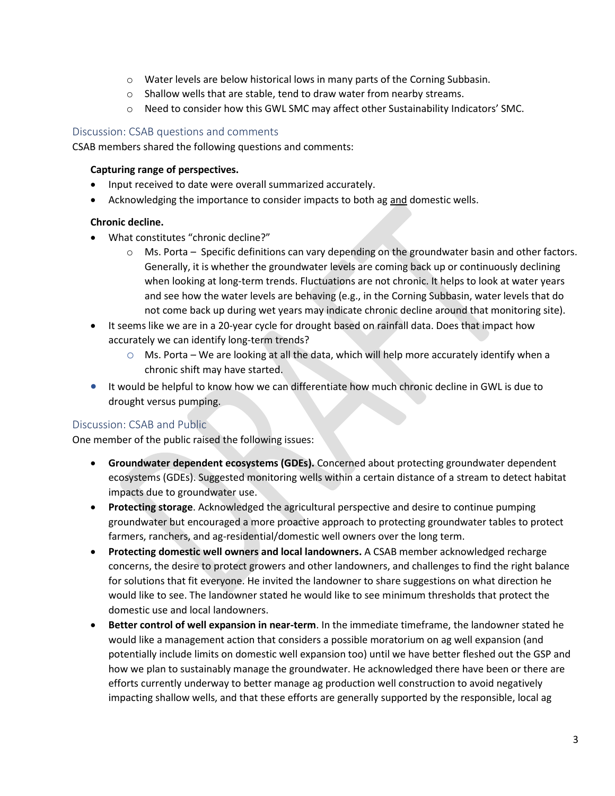- o Water levels are below historical lows in many parts of the Corning Subbasin.
- o Shallow wells that are stable, tend to draw water from nearby streams.
- $\circ$  Need to consider how this GWL SMC may affect other Sustainability Indicators' SMC.

#### Discussion: CSAB questions and comments

CSAB members shared the following questions and comments:

#### **Capturing range of perspectives.**

- Input received to date were overall summarized accurately.
- Acknowledging the importance to consider impacts to both ag and domestic wells.

#### **Chronic decline.**

- What constitutes "chronic decline?"
	- $\circ$  Ms. Porta Specific definitions can vary depending on the groundwater basin and other factors. Generally, it is whether the groundwater levels are coming back up or continuously declining when looking at long-term trends. Fluctuations are not chronic. It helps to look at water years and see how the water levels are behaving (e.g., in the Corning Subbasin, water levels that do not come back up during wet years may indicate chronic decline around that monitoring site).
- It seems like we are in a 20-year cycle for drought based on rainfall data. Does that impact how accurately we can identify long-term trends?
	- $\circ$  Ms. Porta We are looking at all the data, which will help more accurately identify when a chronic shift may have started.
- It would be helpful to know how we can differentiate how much chronic decline in GWL is due to drought versus pumping.

### Discussion: CSAB and Public

One member of the public raised the following issues:

- **Groundwater dependent ecosystems (GDEs).** Concerned about protecting groundwater dependent ecosystems (GDEs). Suggested monitoring wells within a certain distance of a stream to detect habitat impacts due to groundwater use.
- **Protecting storage**. Acknowledged the agricultural perspective and desire to continue pumping groundwater but encouraged a more proactive approach to protecting groundwater tables to protect farmers, ranchers, and ag-residential/domestic well owners over the long term.
- **Protecting domestic well owners and local landowners.** A CSAB member acknowledged recharge concerns, the desire to protect growers and other landowners, and challenges to find the right balance for solutions that fit everyone. He invited the landowner to share suggestions on what direction he would like to see. The landowner stated he would like to see minimum thresholds that protect the domestic use and local landowners.
- **Better control of well expansion in near-term**. In the immediate timeframe, the landowner stated he would like a management action that considers a possible moratorium on ag well expansion (and potentially include limits on domestic well expansion too) until we have better fleshed out the GSP and how we plan to sustainably manage the groundwater. He acknowledged there have been or there are efforts currently underway to better manage ag production well construction to avoid negatively impacting shallow wells, and that these efforts are generally supported by the responsible, local ag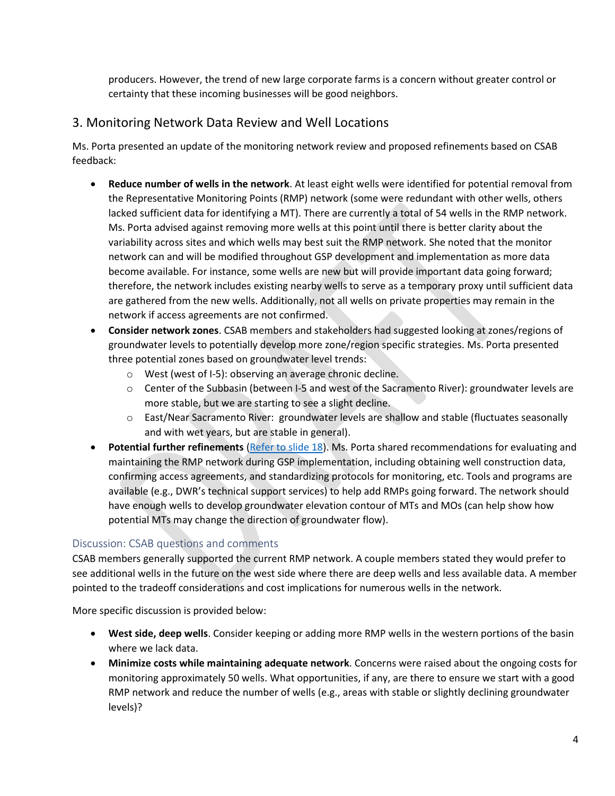producers. However, the trend of new large corporate farms is a concern without greater control or certainty that these incoming businesses will be good neighbors.

# 3. Monitoring Network Data Review and Well Locations

Ms. Porta presented an update of the monitoring network review and proposed refinements based on CSAB feedback:

- **Reduce number of wells in the network**. At least eight wells were identified for potential removal from the Representative Monitoring Points (RMP) network (some were redundant with other wells, others lacked sufficient data for identifying a MT). There are currently a total of 54 wells in the RMP network. Ms. Porta advised against removing more wells at this point until there is better clarity about the variability across sites and which wells may best suit the RMP network. She noted that the monitor network can and will be modified throughout GSP development and implementation as more data become available. For instance, some wells are new but will provide important data going forward; therefore, the network includes existing nearby wells to serve as a temporary proxy until sufficient data are gathered from the new wells. Additionally, not all wells on private properties may remain in the network if access agreements are not confirmed.
- **Consider network zones**. CSAB members and stakeholders had suggested looking at zones/regions of groundwater levels to potentially develop more zone/region specific strategies. Ms. Porta presented three potential zones based on groundwater level trends:
	- o West (west of I-5): observing an average chronic decline.
	- $\circ$  Center of the Subbasin (between I-5 and west of the Sacramento River): groundwater levels are more stable, but we are starting to see a slight decline.
	- o East/Near Sacramento River: groundwater levels are shallow and stable (fluctuates seasonally and with wet years, but are stable in general).
- **Potential further refinements** [\(Refer to slide 18\)](https://a8b4cae8-bac7-40f8-8c05-cf1a163cd3ad.filesusr.com/ugd/c88b6b_a0f4e3d161604f3e93aca42962e668a5.pdf). Ms. Porta shared recommendations for evaluating and maintaining the RMP network during GSP implementation, including obtaining well construction data, confirming access agreements, and standardizing protocols for monitoring, etc. Tools and programs are available (e.g., DWR's technical support services) to help add RMPs going forward. The network should have enough wells to develop groundwater elevation contour of MTs and MOs (can help show how potential MTs may change the direction of groundwater flow).

### Discussion: CSAB questions and comments

CSAB members generally supported the current RMP network. A couple members stated they would prefer to see additional wells in the future on the west side where there are deep wells and less available data. A member pointed to the tradeoff considerations and cost implications for numerous wells in the network.

More specific discussion is provided below:

- **West side, deep wells**. Consider keeping or adding more RMP wells in the western portions of the basin where we lack data.
- **Minimize costs while maintaining adequate network**. Concerns were raised about the ongoing costs for monitoring approximately 50 wells. What opportunities, if any, are there to ensure we start with a good RMP network and reduce the number of wells (e.g., areas with stable or slightly declining groundwater levels)?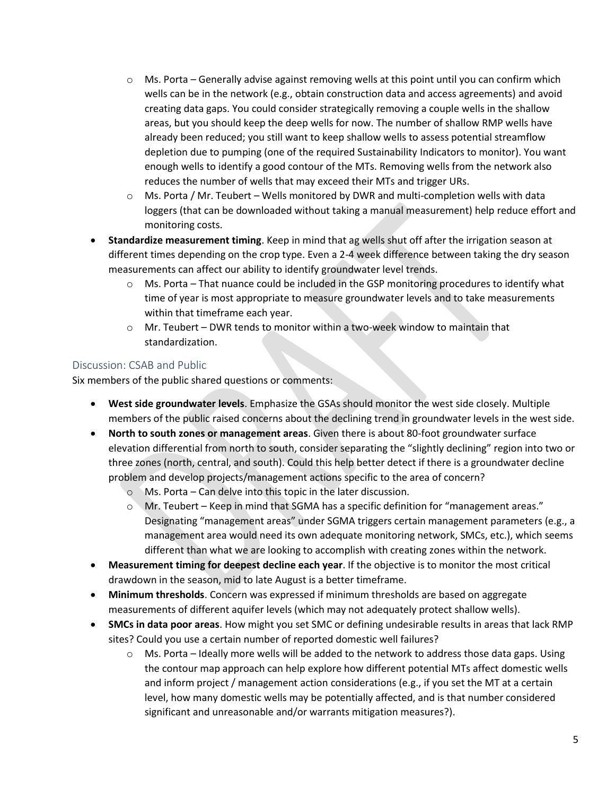- $\circ$  Ms. Porta Generally advise against removing wells at this point until you can confirm which wells can be in the network (e.g., obtain construction data and access agreements) and avoid creating data gaps. You could consider strategically removing a couple wells in the shallow areas, but you should keep the deep wells for now. The number of shallow RMP wells have already been reduced; you still want to keep shallow wells to assess potential streamflow depletion due to pumping (one of the required Sustainability Indicators to monitor). You want enough wells to identify a good contour of the MTs. Removing wells from the network also reduces the number of wells that may exceed their MTs and trigger URs.
- o Ms. Porta / Mr. Teubert Wells monitored by DWR and multi-completion wells with data loggers (that can be downloaded without taking a manual measurement) help reduce effort and monitoring costs.
- **Standardize measurement timing**. Keep in mind that ag wells shut off after the irrigation season at different times depending on the crop type. Even a 2-4 week difference between taking the dry season measurements can affect our ability to identify groundwater level trends.
	- $\circ$  Ms. Porta That nuance could be included in the GSP monitoring procedures to identify what time of year is most appropriate to measure groundwater levels and to take measurements within that timeframe each year.
	- o Mr. Teubert DWR tends to monitor within a two-week window to maintain that standardization.

## Discussion: CSAB and Public

Six members of the public shared questions or comments:

- **West side groundwater levels**. Emphasize the GSAs should monitor the west side closely. Multiple members of the public raised concerns about the declining trend in groundwater levels in the west side.
- **North to south zones or management areas**. Given there is about 80-foot groundwater surface elevation differential from north to south, consider separating the "slightly declining" region into two or three zones (north, central, and south). Could this help better detect if there is a groundwater decline problem and develop projects/management actions specific to the area of concern?
	- o Ms. Porta Can delve into this topic in the later discussion.
	- o Mr. Teubert Keep in mind that SGMA has a specific definition for "management areas." Designating "management areas" under SGMA triggers certain management parameters (e.g., a management area would need its own adequate monitoring network, SMCs, etc.), which seems different than what we are looking to accomplish with creating zones within the network.
- **Measurement timing for deepest decline each year**. If the objective is to monitor the most critical drawdown in the season, mid to late August is a better timeframe.
- **Minimum thresholds**. Concern was expressed if minimum thresholds are based on aggregate measurements of different aquifer levels (which may not adequately protect shallow wells).
- **SMCs in data poor areas**. How might you set SMC or defining undesirable results in areas that lack RMP sites? Could you use a certain number of reported domestic well failures?
	- $\circ$  Ms. Porta Ideally more wells will be added to the network to address those data gaps. Using the contour map approach can help explore how different potential MTs affect domestic wells and inform project / management action considerations (e.g., if you set the MT at a certain level, how many domestic wells may be potentially affected, and is that number considered significant and unreasonable and/or warrants mitigation measures?).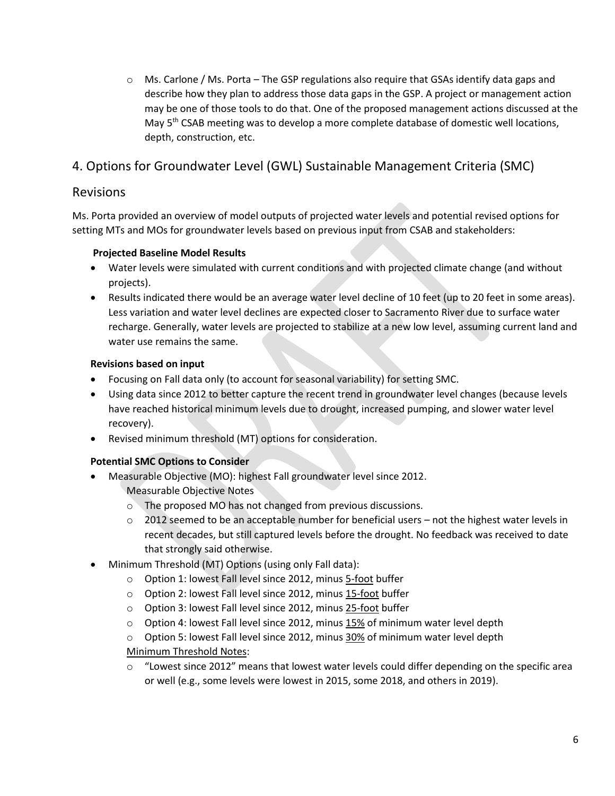$\circ$  Ms. Carlone / Ms. Porta – The GSP regulations also require that GSAs identify data gaps and describe how they plan to address those data gaps in the GSP. A project or management action may be one of those tools to do that. One of the proposed management actions discussed at the May  $5<sup>th</sup>$  CSAB meeting was to develop a more complete database of domestic well locations, depth, construction, etc.

# 4. Options for Groundwater Level (GWL) Sustainable Management Criteria (SMC)

# Revisions

Ms. Porta provided an overview of model outputs of projected water levels and potential revised options for setting MTs and MOs for groundwater levels based on previous input from CSAB and stakeholders:

### **Projected Baseline Model Results**

- Water levels were simulated with current conditions and with projected climate change (and without projects).
- Results indicated there would be an average water level decline of 10 feet (up to 20 feet in some areas). Less variation and water level declines are expected closer to Sacramento River due to surface water recharge. Generally, water levels are projected to stabilize at a new low level, assuming current land and water use remains the same.

## **Revisions based on input**

- Focusing on Fall data only (to account for seasonal variability) for setting SMC.
- Using data since 2012 to better capture the recent trend in groundwater level changes (because levels have reached historical minimum levels due to drought, increased pumping, and slower water level recovery).
- Revised minimum threshold (MT) options for consideration.

## **Potential SMC Options to Consider**

- Measurable Objective (MO): highest Fall groundwater level since 2012. Measurable Objective Notes
	- o The proposed MO has not changed from previous discussions.
	- $\circ$  2012 seemed to be an acceptable number for beneficial users not the highest water levels in recent decades, but still captured levels before the drought. No feedback was received to date that strongly said otherwise.
- Minimum Threshold (MT) Options (using only Fall data):
	- o Option 1: lowest Fall level since 2012, minus 5-foot buffer
	- o Option 2: lowest Fall level since 2012, minus 15-foot buffer
	- o Option 3: lowest Fall level since 2012, minus 25-foot buffer
	- $\circ$  Option 4: lowest Fall level since 2012, minus 15% of minimum water level depth
	- o Option 5: lowest Fall level since 2012, minus 30% of minimum water level depth Minimum Threshold Notes:
	- $\circ$  "Lowest since 2012" means that lowest water levels could differ depending on the specific area or well (e.g., some levels were lowest in 2015, some 2018, and others in 2019).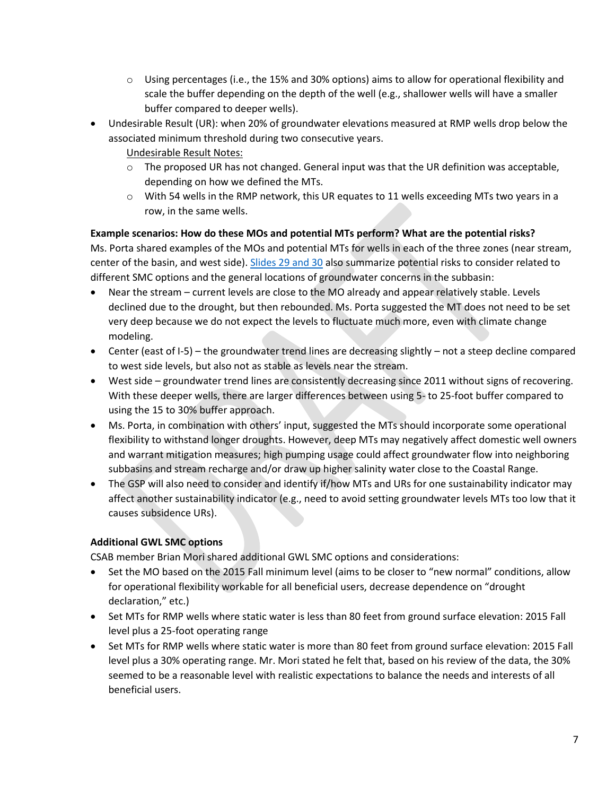- $\circ$  Using percentages (i.e., the 15% and 30% options) aims to allow for operational flexibility and scale the buffer depending on the depth of the well (e.g., shallower wells will have a smaller buffer compared to deeper wells).
- Undesirable Result (UR): when 20% of groundwater elevations measured at RMP wells drop below the associated minimum threshold during two consecutive years.

Undesirable Result Notes:

- $\circ$  The proposed UR has not changed. General input was that the UR definition was acceptable, depending on how we defined the MTs.
- $\circ$  With 54 wells in the RMP network, this UR equates to 11 wells exceeding MTs two years in a row, in the same wells.

### **Example scenarios: How do these MOs and potential MTs perform? What are the potential risks?**

Ms. Porta shared examples of the MOs and potential MTs for wells in each of the three zones (near stream, center of the basin, and west side). [Slides 29 and 30](https://a8b4cae8-bac7-40f8-8c05-cf1a163cd3ad.filesusr.com/ugd/c88b6b_a0f4e3d161604f3e93aca42962e668a5.pdf) also summarize potential risks to consider related to different SMC options and the general locations of groundwater concerns in the subbasin:

- Near the stream current levels are close to the MO already and appear relatively stable. Levels declined due to the drought, but then rebounded. Ms. Porta suggested the MT does not need to be set very deep because we do not expect the levels to fluctuate much more, even with climate change modeling.
- Center (east of I-5) the groundwater trend lines are decreasing slightly not a steep decline compared to west side levels, but also not as stable as levels near the stream.
- West side groundwater trend lines are consistently decreasing since 2011 without signs of recovering. With these deeper wells, there are larger differences between using 5- to 25-foot buffer compared to using the 15 to 30% buffer approach.
- Ms. Porta, in combination with others' input, suggested the MTs should incorporate some operational flexibility to withstand longer droughts. However, deep MTs may negatively affect domestic well owners and warrant mitigation measures; high pumping usage could affect groundwater flow into neighboring subbasins and stream recharge and/or draw up higher salinity water close to the Coastal Range.
- The GSP will also need to consider and identify if/how MTs and URs for one sustainability indicator may affect another sustainability indicator (e.g., need to avoid setting groundwater levels MTs too low that it causes subsidence URs).

## **Additional GWL SMC options**

CSAB member Brian Mori shared additional GWL SMC options and considerations:

- Set the MO based on the 2015 Fall minimum level (aims to be closer to "new normal" conditions, allow for operational flexibility workable for all beneficial users, decrease dependence on "drought declaration," etc.)
- Set MTs for RMP wells where static water is less than 80 feet from ground surface elevation: 2015 Fall level plus a 25-foot operating range
- Set MTs for RMP wells where static water is more than 80 feet from ground surface elevation: 2015 Fall level plus a 30% operating range. Mr. Mori stated he felt that, based on his review of the data, the 30% seemed to be a reasonable level with realistic expectations to balance the needs and interests of all beneficial users.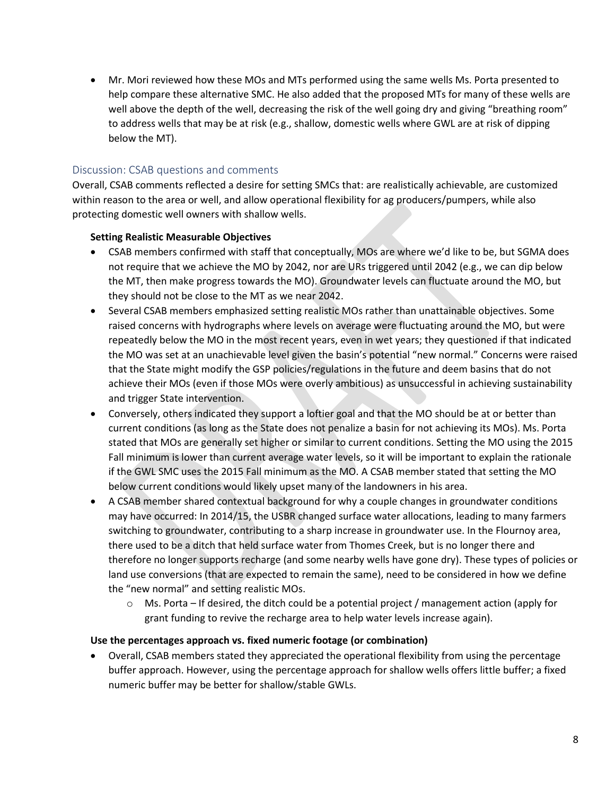• Mr. Mori reviewed how these MOs and MTs performed using the same wells Ms. Porta presented to help compare these alternative SMC. He also added that the proposed MTs for many of these wells are well above the depth of the well, decreasing the risk of the well going dry and giving "breathing room" to address wells that may be at risk (e.g., shallow, domestic wells where GWL are at risk of dipping below the MT).

### Discussion: CSAB questions and comments

Overall, CSAB comments reflected a desire for setting SMCs that: are realistically achievable, are customized within reason to the area or well, and allow operational flexibility for ag producers/pumpers, while also protecting domestic well owners with shallow wells.

#### **Setting Realistic Measurable Objectives**

- CSAB members confirmed with staff that conceptually, MOs are where we'd like to be, but SGMA does not require that we achieve the MO by 2042, nor are URs triggered until 2042 (e.g., we can dip below the MT, then make progress towards the MO). Groundwater levels can fluctuate around the MO, but they should not be close to the MT as we near 2042.
- Several CSAB members emphasized setting realistic MOs rather than unattainable objectives. Some raised concerns with hydrographs where levels on average were fluctuating around the MO, but were repeatedly below the MO in the most recent years, even in wet years; they questioned if that indicated the MO was set at an unachievable level given the basin's potential "new normal." Concerns were raised that the State might modify the GSP policies/regulations in the future and deem basins that do not achieve their MOs (even if those MOs were overly ambitious) as unsuccessful in achieving sustainability and trigger State intervention.
- Conversely, others indicated they support a loftier goal and that the MO should be at or better than current conditions (as long as the State does not penalize a basin for not achieving its MOs). Ms. Porta stated that MOs are generally set higher or similar to current conditions. Setting the MO using the 2015 Fall minimum is lower than current average water levels, so it will be important to explain the rationale if the GWL SMC uses the 2015 Fall minimum as the MO. A CSAB member stated that setting the MO below current conditions would likely upset many of the landowners in his area.
- A CSAB member shared contextual background for why a couple changes in groundwater conditions may have occurred: In 2014/15, the USBR changed surface water allocations, leading to many farmers switching to groundwater, contributing to a sharp increase in groundwater use. In the Flournoy area, there used to be a ditch that held surface water from Thomes Creek, but is no longer there and therefore no longer supports recharge (and some nearby wells have gone dry). These types of policies or land use conversions (that are expected to remain the same), need to be considered in how we define the "new normal" and setting realistic MOs.
	- $\circ$  Ms. Porta If desired, the ditch could be a potential project / management action (apply for grant funding to revive the recharge area to help water levels increase again).

#### **Use the percentages approach vs. fixed numeric footage (or combination)**

• Overall, CSAB members stated they appreciated the operational flexibility from using the percentage buffer approach. However, using the percentage approach for shallow wells offers little buffer; a fixed numeric buffer may be better for shallow/stable GWLs.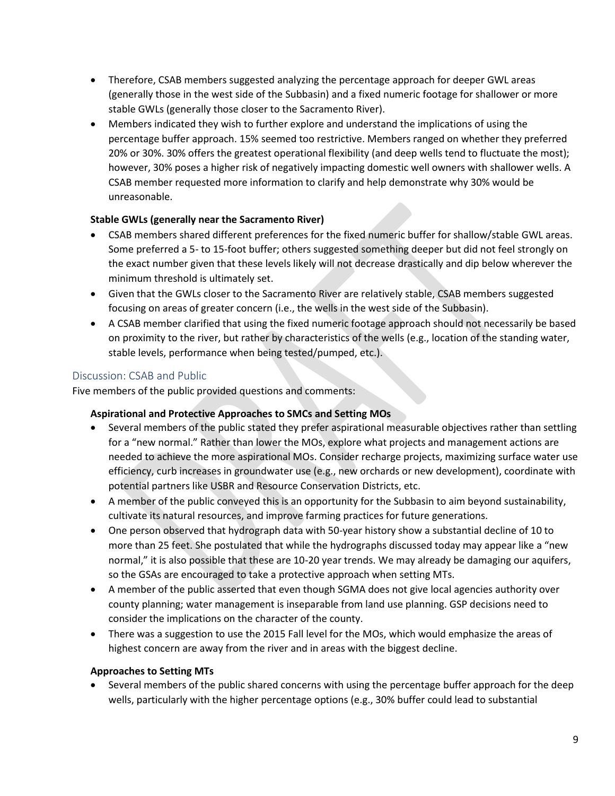- Therefore, CSAB members suggested analyzing the percentage approach for deeper GWL areas (generally those in the west side of the Subbasin) and a fixed numeric footage for shallower or more stable GWLs (generally those closer to the Sacramento River).
- Members indicated they wish to further explore and understand the implications of using the percentage buffer approach. 15% seemed too restrictive. Members ranged on whether they preferred 20% or 30%. 30% offers the greatest operational flexibility (and deep wells tend to fluctuate the most); however, 30% poses a higher risk of negatively impacting domestic well owners with shallower wells. A CSAB member requested more information to clarify and help demonstrate why 30% would be unreasonable.

## **Stable GWLs (generally near the Sacramento River)**

- CSAB members shared different preferences for the fixed numeric buffer for shallow/stable GWL areas. Some preferred a 5- to 15-foot buffer; others suggested something deeper but did not feel strongly on the exact number given that these levels likely will not decrease drastically and dip below wherever the minimum threshold is ultimately set.
- Given that the GWLs closer to the Sacramento River are relatively stable, CSAB members suggested focusing on areas of greater concern (i.e., the wells in the west side of the Subbasin).
- A CSAB member clarified that using the fixed numeric footage approach should not necessarily be based on proximity to the river, but rather by characteristics of the wells (e.g., location of the standing water, stable levels, performance when being tested/pumped, etc.).

## Discussion: CSAB and Public

Five members of the public provided questions and comments:

## **Aspirational and Protective Approaches to SMCs and Setting MOs**

- Several members of the public stated they prefer aspirational measurable objectives rather than settling for a "new normal." Rather than lower the MOs, explore what projects and management actions are needed to achieve the more aspirational MOs. Consider recharge projects, maximizing surface water use efficiency, curb increases in groundwater use (e.g., new orchards or new development), coordinate with potential partners like USBR and Resource Conservation Districts, etc.
- A member of the public conveyed this is an opportunity for the Subbasin to aim beyond sustainability, cultivate its natural resources, and improve farming practices for future generations.
- One person observed that hydrograph data with 50-year history show a substantial decline of 10 to more than 25 feet. She postulated that while the hydrographs discussed today may appear like a "new normal," it is also possible that these are 10-20 year trends. We may already be damaging our aquifers, so the GSAs are encouraged to take a protective approach when setting MTs.
- A member of the public asserted that even though SGMA does not give local agencies authority over county planning; water management is inseparable from land use planning. GSP decisions need to consider the implications on the character of the county.
- There was a suggestion to use the 2015 Fall level for the MOs, which would emphasize the areas of highest concern are away from the river and in areas with the biggest decline.

## **Approaches to Setting MTs**

• Several members of the public shared concerns with using the percentage buffer approach for the deep wells, particularly with the higher percentage options (e.g., 30% buffer could lead to substantial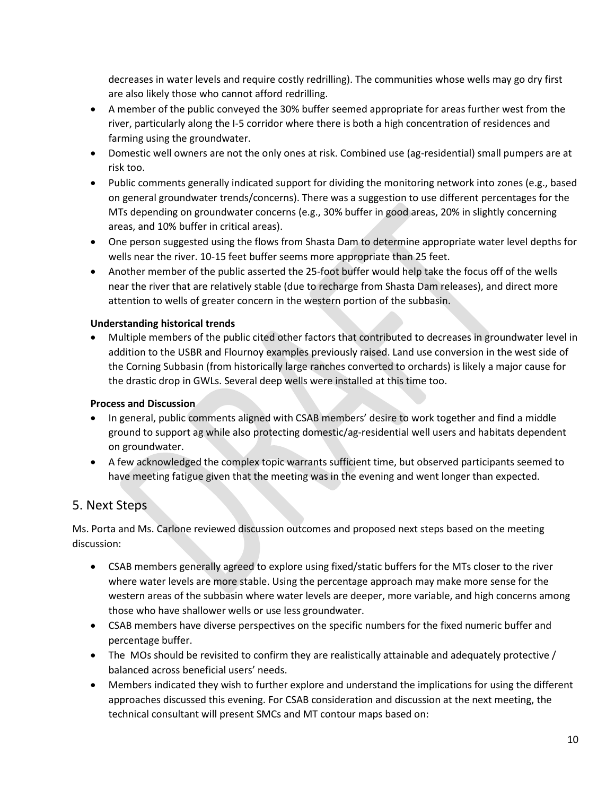decreases in water levels and require costly redrilling). The communities whose wells may go dry first are also likely those who cannot afford redrilling.

- A member of the public conveyed the 30% buffer seemed appropriate for areas further west from the river, particularly along the I-5 corridor where there is both a high concentration of residences and farming using the groundwater.
- Domestic well owners are not the only ones at risk. Combined use (ag-residential) small pumpers are at risk too.
- Public comments generally indicated support for dividing the monitoring network into zones (e.g., based on general groundwater trends/concerns). There was a suggestion to use different percentages for the MTs depending on groundwater concerns (e.g., 30% buffer in good areas, 20% in slightly concerning areas, and 10% buffer in critical areas).
- One person suggested using the flows from Shasta Dam to determine appropriate water level depths for wells near the river. 10-15 feet buffer seems more appropriate than 25 feet.
- Another member of the public asserted the 25-foot buffer would help take the focus off of the wells near the river that are relatively stable (due to recharge from Shasta Dam releases), and direct more attention to wells of greater concern in the western portion of the subbasin.

### **Understanding historical trends**

• Multiple members of the public cited other factors that contributed to decreases in groundwater level in addition to the USBR and Flournoy examples previously raised. Land use conversion in the west side of the Corning Subbasin (from historically large ranches converted to orchards) is likely a major cause for the drastic drop in GWLs. Several deep wells were installed at this time too.

### **Process and Discussion**

- In general, public comments aligned with CSAB members' desire to work together and find a middle ground to support ag while also protecting domestic/ag-residential well users and habitats dependent on groundwater.
- A few acknowledged the complex topic warrants sufficient time, but observed participants seemed to have meeting fatigue given that the meeting was in the evening and went longer than expected.

# 5. Next Steps

Ms. Porta and Ms. Carlone reviewed discussion outcomes and proposed next steps based on the meeting discussion:

- CSAB members generally agreed to explore using fixed/static buffers for the MTs closer to the river where water levels are more stable. Using the percentage approach may make more sense for the western areas of the subbasin where water levels are deeper, more variable, and high concerns among those who have shallower wells or use less groundwater.
- CSAB members have diverse perspectives on the specific numbers for the fixed numeric buffer and percentage buffer.
- The MOs should be revisited to confirm they are realistically attainable and adequately protective / balanced across beneficial users' needs.
- Members indicated they wish to further explore and understand the implications for using the different approaches discussed this evening. For CSAB consideration and discussion at the next meeting, the technical consultant will present SMCs and MT contour maps based on: